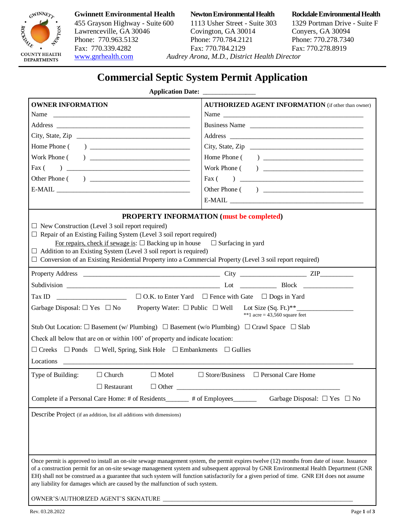

## 455 Grayson Highway - Suite 600 1113 Usher Street - Suite 303 1329 Portman Drive - Suite F Lawrenceville, GA 30046 Covington, GA 30014 Conyers, GA 30094 Phone: 770.963.5132 Phone: 770.784.2121 Phone: 770.278.7340<br>
Fax: 770.339.4282 Fax: 770.784.2129 Fax: 770.278.8919 Fax: 770.339.4282 Fax: 770.784.2129 [www.gnrhealth.com](http://www.gnrhealth.com/) *Audrey Arona, M.D., District Health Director*

**Gwinnett Environmental Health Newton Environmental Health Rockdale Environmental Health**

# **Commercial Septic System Permit Application**

### **Application Date:**

| <b>OWNER INFORMATION</b>                                                                                                                                                                                                                                                           | <b>AUTHORIZED AGENT INFORMATION</b> (if other than owner) |
|------------------------------------------------------------------------------------------------------------------------------------------------------------------------------------------------------------------------------------------------------------------------------------|-----------------------------------------------------------|
| Name                                                                                                                                                                                                                                                                               | Name                                                      |
|                                                                                                                                                                                                                                                                                    | Business Name                                             |
|                                                                                                                                                                                                                                                                                    |                                                           |
|                                                                                                                                                                                                                                                                                    |                                                           |
|                                                                                                                                                                                                                                                                                    |                                                           |
| Fax $($                                                                                                                                                                                                                                                                            |                                                           |
|                                                                                                                                                                                                                                                                                    |                                                           |
|                                                                                                                                                                                                                                                                                    |                                                           |
|                                                                                                                                                                                                                                                                                    |                                                           |
| PROPERTY INFORMATION (must be completed)                                                                                                                                                                                                                                           |                                                           |
| $\Box$ New Construction (Level 3 soil report required)                                                                                                                                                                                                                             |                                                           |
| $\Box$ Repair of an Existing Failing System (Level 3 soil report required)                                                                                                                                                                                                         |                                                           |
| For repairs, check if sewage is: $\square$ Backing up in house $\square$ Surfacing in yard                                                                                                                                                                                         |                                                           |
| $\Box$ Addition to an Existing System (Level 3 soil report is required)                                                                                                                                                                                                            |                                                           |
| $\Box$ Conversion of an Existing Residential Property into a Commercial Property (Level 3 soil report required)                                                                                                                                                                    |                                                           |
|                                                                                                                                                                                                                                                                                    |                                                           |
|                                                                                                                                                                                                                                                                                    |                                                           |
|                                                                                                                                                                                                                                                                                    |                                                           |
| Garbage Disposal: $\Box$ Yes $\Box$ No Property Water: $\Box$ Public $\Box$ Well Lot Size (Sq. Ft.)**<br>**1 acre = $43,560$ square feet                                                                                                                                           |                                                           |
| Stub Out Location: $\square$ Basement (w/ Plumbing) $\square$ Basement (w/o Plumbing) $\square$ Crawl Space $\square$ Slab                                                                                                                                                         |                                                           |
| Check all below that are on or within 100' of property and indicate location:                                                                                                                                                                                                      |                                                           |
| $\Box$ Creeks $\Box$ Ponds $\Box$ Well, Spring, Sink Hole $\Box$ Embankments $\Box$ Gullies                                                                                                                                                                                        |                                                           |
|                                                                                                                                                                                                                                                                                    |                                                           |
|                                                                                                                                                                                                                                                                                    |                                                           |
| Type of Building:<br>$\Box$ Motel<br>$\Box$ Church                                                                                                                                                                                                                                 | $\Box$ Store/Business $\Box$ Personal Care Home           |
| $\Box$ Restaurant                                                                                                                                                                                                                                                                  |                                                           |
| Complete if a Personal Care Home: # of Residents_______ # of Employees_                                                                                                                                                                                                            | Garbage Disposal: $\Box$ Yes $\Box$ No                    |
| Describe Project (if an addition, list all additions with dimensions)                                                                                                                                                                                                              |                                                           |
|                                                                                                                                                                                                                                                                                    |                                                           |
|                                                                                                                                                                                                                                                                                    |                                                           |
|                                                                                                                                                                                                                                                                                    |                                                           |
|                                                                                                                                                                                                                                                                                    |                                                           |
| Once permit is approved to install an on-site sewage management system, the permit expires twelve (12) months from date of issue. Issuance<br>of a construction permit for an on-site sewage management system and subsequent approval by GNR Environmental Health Department (GNR |                                                           |
| EH) shall not be construed as a guarantee that such system will function satisfactorily for a given period of time. GNR EH does not assume                                                                                                                                         |                                                           |
| any liability for damages which are caused by the malfunction of such system.                                                                                                                                                                                                      |                                                           |
| OWNER'S/AUTHORIZED AGENT'S SIGNATURE                                                                                                                                                                                                                                               |                                                           |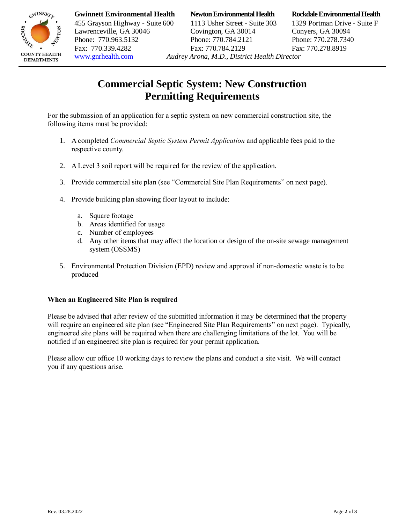

**Gwinnett Environmental Health Newton Environmental Health Rockdale Environmental Health**

455 Grayson Highway - Suite 600 1113 Usher Street - Suite 303 1329 Portman Drive - Suite F Lawrenceville, GA 30046 Covington, GA 30014 Conyers, GA 30094 Phone: 770.963.5132 Phone: 770.784.2121 Phone: 770.278.7340 Fax: 770.339.4282 Fax: 770.784.2129 Fax: 770.278.8919 [www.gnrhealth.com](http://www.gnrhealth.com/) *Audrey Arona, M.D., District Health Director* 

## **Commercial Septic System: New Construction Permitting Requirements**

For the submission of an application for a septic system on new commercial construction site, the following items must be provided:

- 1. A completed *Commercial Septic System Permit Application* and applicable fees paid to the respective county.
- 2. A Level 3 soil report will be required for the review of the application.
- 3. Provide commercial site plan (see "Commercial Site Plan Requirements" on next page).
- 4. Provide building plan showing floor layout to include:
	- a. Square footage
	- b. Areas identified for usage
	- c. Number of employees
	- d. Any other items that may affect the location or design of the on-site sewage management system (OSSMS)
- 5. Environmental Protection Division (EPD) review and approval if non-domestic waste is to be produced

### **When an Engineered Site Plan is required**

Please be advised that after review of the submitted information it may be determined that the property will require an engineered site plan (see "Engineered Site Plan Requirements" on next page). Typically, engineered site plans will be required when there are challenging limitations of the lot. You will be notified if an engineered site plan is required for your permit application.

Please allow our office 10 working days to review the plans and conduct a site visit. We will contact you if any questions arise.